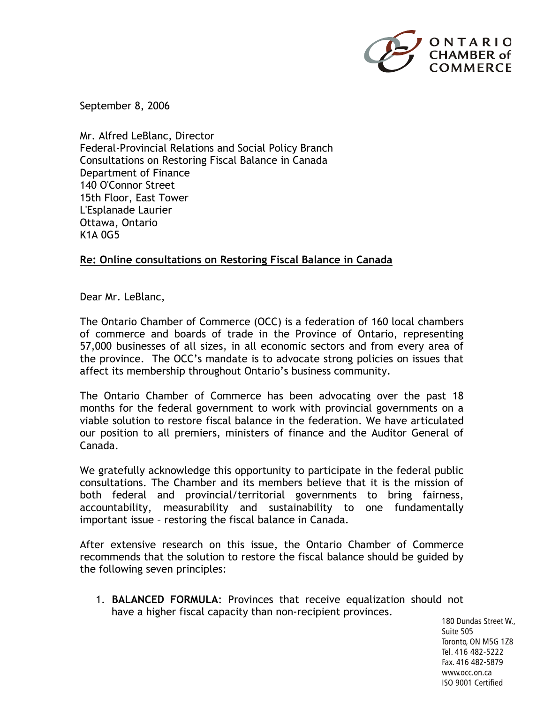

September 8, 2006

Mr. Alfred LeBlanc, Director Federal-Provincial Relations and Social Policy Branch Consultations on Restoring Fiscal Balance in Canada Department of Finance 140 O'Connor Street 15th Floor, East Tower L'Esplanade Laurier Ottawa, Ontario K1A 0G5

## **Re: Online consultations on Restoring Fiscal Balance in Canada**

Dear Mr. LeBlanc,

The Ontario Chamber of Commerce (OCC) is a federation of 160 local chambers of commerce and boards of trade in the Province of Ontario, representing 57,000 businesses of all sizes, in all economic sectors and from every area of the province. The OCC's mandate is to advocate strong policies on issues that affect its membership throughout Ontario's business community.

The Ontario Chamber of Commerce has been advocating over the past 18 months for the federal government to work with provincial governments on a viable solution to restore fiscal balance in the federation. We have articulated our position to all premiers, ministers of finance and the Auditor General of Canada.

We gratefully acknowledge this opportunity to participate in the federal public consultations. The Chamber and its members believe that it is the mission of both federal and provincial/territorial governments to bring fairness, accountability, measurability and sustainability to one fundamentally important issue – restoring the fiscal balance in Canada.

After extensive research on this issue, the Ontario Chamber of Commerce recommends that the solution to restore the fiscal balance should be guided by the following seven principles:

1. **BALANCED FORMULA**: Provinces that receive equalization should not have a higher fiscal capacity than non-recipient provinces.

180 Dundas Street W., Suite 505 Toronto, ON M5G 1Z8 Tel. 416 482-5222 Fax. 416 482-5879 www.occ.on.ca ISO 9001 Certified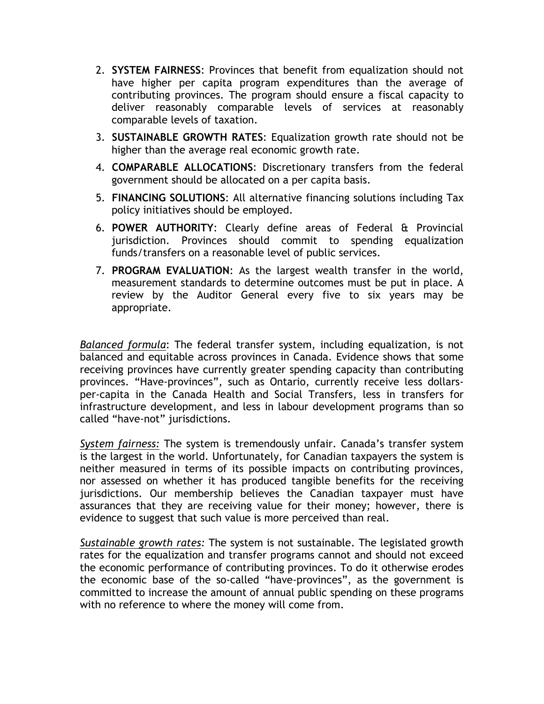- 2. **SYSTEM FAIRNESS**: Provinces that benefit from equalization should not have higher per capita program expenditures than the average of contributing provinces. The program should ensure a fiscal capacity to deliver reasonably comparable levels of services at reasonably comparable levels of taxation.
- 3. **SUSTAINABLE GROWTH RATES**: Equalization growth rate should not be higher than the average real economic growth rate.
- 4. **COMPARABLE ALLOCATIONS**: Discretionary transfers from the federal government should be allocated on a per capita basis.
- 5. **FINANCING SOLUTIONS**: All alternative financing solutions including Tax policy initiatives should be employed.
- 6. **POWER AUTHORITY**: Clearly define areas of Federal & Provincial jurisdiction. Provinces should commit to spending equalization funds/transfers on a reasonable level of public services.
- 7. **PROGRAM EVALUATION**: As the largest wealth transfer in the world, measurement standards to determine outcomes must be put in place. A review by the Auditor General every five to six years may be appropriate.

*Balanced formula*: The federal transfer system, including equalization, is not balanced and equitable across provinces in Canada. Evidence shows that some receiving provinces have currently greater spending capacity than contributing provinces. "Have-provinces", such as Ontario, currently receive less dollarsper-capita in the Canada Health and Social Transfers, less in transfers for infrastructure development, and less in labour development programs than so called "have-not" jurisdictions.

*System fairness:* The system is tremendously unfair. Canada's transfer system is the largest in the world. Unfortunately, for Canadian taxpayers the system is neither measured in terms of its possible impacts on contributing provinces, nor assessed on whether it has produced tangible benefits for the receiving jurisdictions. Our membership believes the Canadian taxpayer must have assurances that they are receiving value for their money; however, there is evidence to suggest that such value is more perceived than real.

*Sustainable growth rates:* The system is not sustainable. The legislated growth rates for the equalization and transfer programs cannot and should not exceed the economic performance of contributing provinces. To do it otherwise erodes the economic base of the so-called "have-provinces", as the government is committed to increase the amount of annual public spending on these programs with no reference to where the money will come from.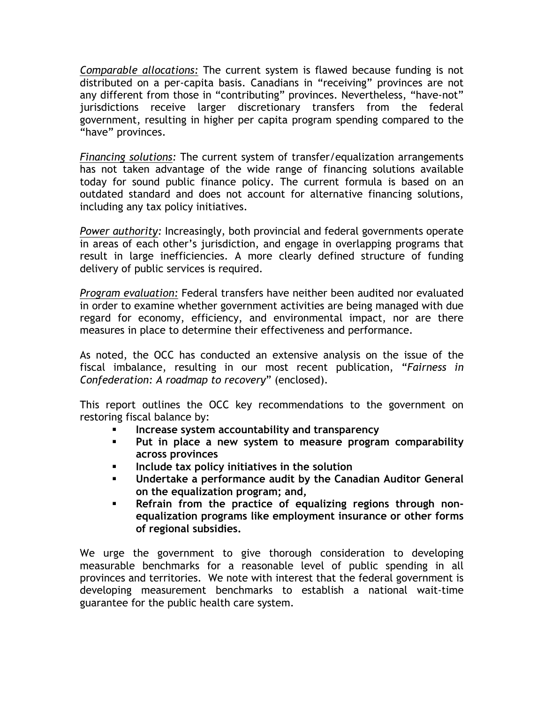*Comparable allocations:* The current system is flawed because funding is not distributed on a per-capita basis. Canadians in "receiving" provinces are not any different from those in "contributing" provinces. Nevertheless, "have-not" jurisdictions receive larger discretionary transfers from the federal government, resulting in higher per capita program spending compared to the "have" provinces.

*Financing solutions:* The current system of transfer/equalization arrangements has not taken advantage of the wide range of financing solutions available today for sound public finance policy. The current formula is based on an outdated standard and does not account for alternative financing solutions, including any tax policy initiatives.

*Power authority:* Increasingly, both provincial and federal governments operate in areas of each other's jurisdiction, and engage in overlapping programs that result in large inefficiencies. A more clearly defined structure of funding delivery of public services is required.

*Program evaluation:* Federal transfers have neither been audited nor evaluated in order to examine whether government activities are being managed with due regard for economy, efficiency, and environmental impact, nor are there measures in place to determine their effectiveness and performance.

As noted, the OCC has conducted an extensive analysis on the issue of the fiscal imbalance, resulting in our most recent publication, "*Fairness in Confederation: A roadmap to recovery*" (enclosed).

This report outlines the OCC key recommendations to the government on restoring fiscal balance by:

- § **Increase system accountability and transparency**
- § **Put in place a new system to measure program comparability across provinces**
- § **Include tax policy initiatives in the solution**
- § **Undertake a performance audit by the Canadian Auditor General on the equalization program; and,**
- § **Refrain from the practice of equalizing regions through nonequalization programs like employment insurance or other forms of regional subsidies.**

We urge the government to give thorough consideration to developing measurable benchmarks for a reasonable level of public spending in all provinces and territories. We note with interest that the federal government is developing measurement benchmarks to establish a national wait-time guarantee for the public health care system.